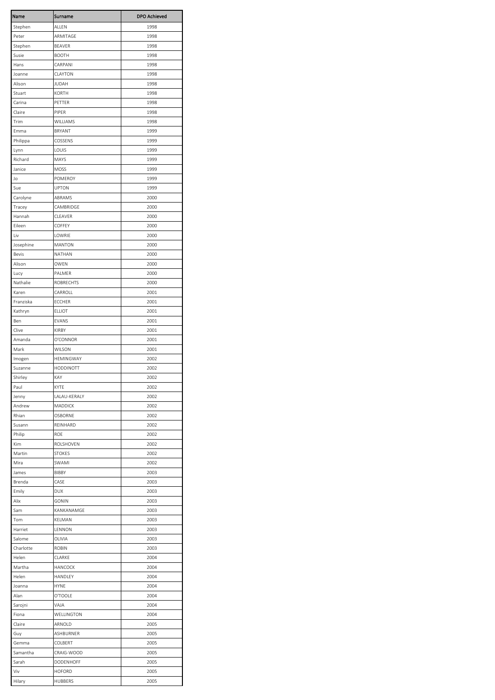| Name               | Surname                 | <b>DPO Achieved</b> |
|--------------------|-------------------------|---------------------|
| Stephen            | ALLEN                   | 1998                |
| Peter              | ARMITAGE                | 1998                |
| Stephen            | BEAVER                  | 1998                |
| Susie              | <b>BOOTH</b>            | 1998                |
| Hans               | CARPANI                 | 1998                |
| Joanne             | CLAYTON                 | 1998                |
| Alison             | JUDAH                   | 1998                |
| Stuart             | KORTH                   | 1998                |
| Carina             | PETTER                  | 1998                |
| Claire             | PIPER                   | 1998                |
| Trim               | WILLIAMS                | 1998                |
| Emma               | <b>BRYANT</b>           | 1999                |
| Philippa           | COSSENS                 | 1999                |
| Lynn               | LOUIS                   | 1999                |
| Richard            | MAYS                    | 1999                |
| Janice<br>Jo       | MOSS<br>POMEROY         | 1999<br>1999        |
| Sue                | <b>UPTON</b>            | 1999                |
| Carolyne           | ABRAMS                  | 2000                |
| Tracey             | CAMBRIDGE               | 2000                |
| Hannah             | CLEAVER                 | 2000                |
| Eileen             | COFFEY                  | 2000                |
| Liv                | LOWRIE                  | 2000                |
| Josephine          | <b>MANTON</b>           | 2000                |
| Bevis              | NATHAN                  | 2000                |
| Alison             | OWEN                    | 2000                |
| Lucy               | PALMER                  | 2000                |
| Nathalie           | <b>ROBRECHTS</b>        | 2000                |
| Karen              | CARROLL                 | 2001                |
| Franziska          | <b>ECCHER</b>           | 2001                |
| Kathryn            | <b>ELLIOT</b>           | 2001                |
| Ben                | EVANS                   | 2001                |
| Clive              | <b>KIRBY</b>            | 2001                |
| Amanda             | O'CONNOR                | 2001                |
| Mark               | WILSON                  | 2001                |
| Imogen             | HEMINGWAY               | 2002                |
| Suzanne<br>Shirley | <b>HODDINOTT</b><br>KAY | 2002                |
| Paul               | <b>KYTE</b>             | 2002                |
| Jenny              | LALAU-KERALY            | 2002<br>2002        |
| Andrew             | MADDICK                 | 2002                |
| Rhian              | OSBORNE                 | 2002                |
| Susann             | REINHARD                | 2002                |
| Philip             | <b>ROE</b>              | 2002                |
| Kim                | ROLSHOVEN               | 2002                |
| Martin             | <b>STOKES</b>           | 2002                |
| Mira               | SWAMI                   | 2002                |
| James              | BIBBY                   | 2003                |
| Brenda             | CASE                    | 2003                |
| Emily              | DUX                     | 2003                |
| Alix               | GONIN                   | 2003                |
| Sam                | KANKANAMGE              | 2003                |
| Tom                | KELMAN                  | 2003                |
| Harriet            | LENNON                  | 2003                |
| Salome             | OLIVIA                  | 2003                |
| Charlotte          | <b>ROBIN</b>            | 2003                |
| Helen              | CLARKE                  | 2004                |
| Martha             | HANCOCK                 | 2004                |
| Helen              | HANDLEY                 | 2004                |
| Joanna             | HYNE                    | 2004                |
| Alan               | O'TOOLE<br>VAJA         | 2004<br>2004        |
| Sarojni<br>Fiona   | WELLINGTON              | 2004                |
| Claire             | ARNOLD                  | 2005                |
| Guy                | ASHBURNER               | 2005                |
| Gemma              | COLBERT                 | 2005                |
| Samantha           | CRAIG-WOOD              | 2005                |
| Sarah              | DODENHOFF               | 2005                |
| Viv                | <b>HOFORD</b>           | 2005                |
| Hilary             | <b>HUBBERS</b>          | 2005                |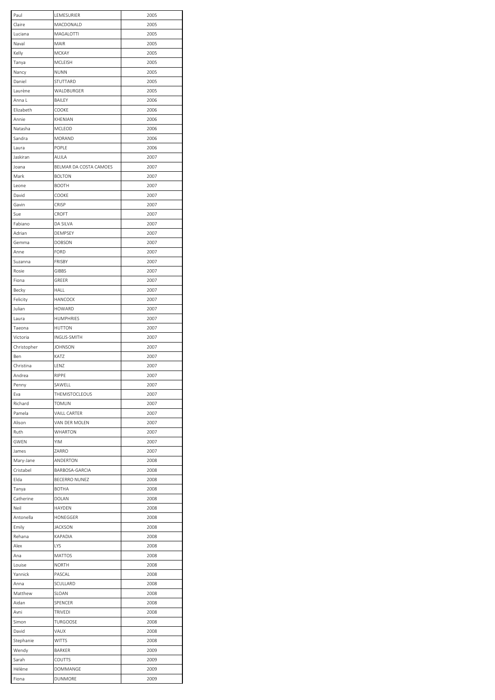| Paul        | LEMESURIER             | 2005 |
|-------------|------------------------|------|
| Claire      | MACDONALD              | 2005 |
| Luciana     | MAGALOTTI              | 2005 |
| Naval       | MAIR                   | 2005 |
| Kelly       | MCKAY                  | 2005 |
| Tanya       | <b>MCLEISH</b>         | 2005 |
| Nancy       | <b>NUNN</b>            | 2005 |
|             |                        |      |
| Daniel      | STUTTARD               | 2005 |
| Laurène     | WALDBURGER             | 2005 |
| Anna L      | BAILEY                 | 2006 |
| Elizabeth   | COOKE                  | 2006 |
| Annie       | KHENIAN                | 2006 |
| Natasha     | MCLEOD                 | 2006 |
|             |                        |      |
| Sandra      | MORAND                 | 2006 |
| Laura       | POPLE                  | 2006 |
| Jaskiran    | AUJLA                  | 2007 |
| Joana       | BELMAR DA COSTA CAMOES | 2007 |
| Mark        | <b>BOLTON</b>          | 2007 |
| Leone       | <b>BOOTH</b>           | 2007 |
| David       | COOKE                  | 2007 |
|             |                        |      |
| Gavin       | CRISP                  | 2007 |
| Sue         | CROFT                  | 2007 |
| Fabiano     | DA SILVA               | 2007 |
| Adrian      | DEMPSEY                | 2007 |
| Gemma       | <b>DOBSON</b>          | 2007 |
| Anne        | FORD                   | 2007 |
|             |                        |      |
| Suzanna     | FRISBY                 | 2007 |
| Rosie       | <b>GIBBS</b>           | 2007 |
| Fiona       | GREER                  | 2007 |
| Becky       | HALL                   | 2007 |
| Felicity    | HANCOCK                | 2007 |
| Julian      | <b>HOWARD</b>          | 2007 |
|             |                        |      |
| Laura       | <b>HUMPHRIES</b>       | 2007 |
| Taeona      | <b>HUTTON</b>          | 2007 |
| Victoria    | INGLIS-SMITH           | 2007 |
| Christopher | <b>JOHNSON</b>         | 2007 |
| Ben         | KATZ                   | 2007 |
| Christina   | LENZ                   | 2007 |
| Andrea      | RIPPE                  | 2007 |
|             |                        |      |
| Penny       | SAWELL                 | 2007 |
| Eva         | THEMISTOCLEOUS         | 2007 |
| Richard     | <b>TOMLIN</b>          | 2007 |
| Pamela      | <b>VAILL CARTER</b>    | 2007 |
| Alison      | VAN DER MOLEN          | 2007 |
| Ruth        | WHARTON                | 2007 |
|             |                        |      |
| <b>GWEN</b> | YIM                    | 2007 |
| James       | ZARRO                  | 2007 |
| Mary-Jane   | ANDERTON               | 2008 |
| Cristabel   | BARBOSA-GARCIA         | 2008 |
| Elda        | BECERRO NUNEZ          | 2008 |
| Tanya       | <b>BOTHA</b>           | 2008 |
| Catherine   | DOLAN                  | 2008 |
|             |                        |      |
| Neil        | HAYDEN                 | 2008 |
| Antonella   | HONEGGER               | 2008 |
| Emily       | <b>JACKSON</b>         | 2008 |
| Rehana      | KAPADIA                | 2008 |
| Alex        | LYS                    | 2008 |
| Ana         | MATTOS                 | 2008 |
| Louise      | NORTH                  | 2008 |
|             |                        |      |
| Yannick     | PASCAL                 | 2008 |
| Anna        | SCULLARD               | 2008 |
| Matthew     | SLOAN                  | 2008 |
| Aidan       | SPENCER                | 2008 |
| Avni        | TRIVEDI                | 2008 |
| Simon       | <b>TURGOOSE</b>        | 2008 |
|             |                        |      |
| David       | VAUX                   | 2008 |
| Stephanie   | <b>WITTS</b>           | 2008 |
| Wendy       | BARKER                 | 2009 |
| Sarah       | COUTTS                 | 2009 |
| Hélène      | DOMMANGE               | 2009 |
| Fiona       | DUNMORE                | 2009 |
|             |                        |      |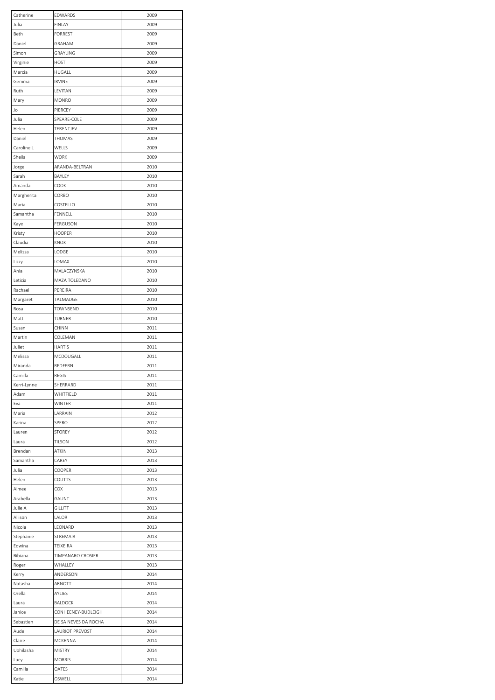| Catherine   | EDWARDS                | 2009 |
|-------------|------------------------|------|
| Julia       | <b>FINLAY</b>          | 2009 |
| Beth        | <b>FORREST</b>         | 2009 |
| Daniel      | GRAHAM                 | 2009 |
| Simon       | GRAYLING               | 2009 |
| Virginie    | <b>HOST</b>            | 2009 |
| Marcia      | HUGALL                 | 2009 |
|             |                        |      |
| Gemma       | <b>IRVINE</b>          | 2009 |
| Ruth        | LEVITAN                | 2009 |
| Mary        | <b>MONRO</b>           | 2009 |
| Jo          | PIERCEY                | 2009 |
| Julia       | SPEARE-COLE            | 2009 |
| Helen       | TERENTJEV              | 2009 |
| Daniel      | THOMAS                 | 2009 |
|             |                        |      |
| Caroline L  | WELLS                  | 2009 |
| Sheila      | WORK                   | 2009 |
| Jorge       | ARANDA-BELTRAN         | 2010 |
| Sarah       | BAYLEY                 | 2010 |
| Amanda      | COOK                   | 2010 |
| Margherita  | CORBO                  | 2010 |
| Maria       | COSTELLO               | 2010 |
| Samantha    | FENNELL                |      |
|             |                        | 2010 |
| Kaye        | FERGUSON               | 2010 |
| Kristy      | <b>HOOPER</b>          | 2010 |
| Claudia     | KNOX                   | 2010 |
| Melissa     | LODGE                  | 2010 |
| Lizzy       | LOMAX                  | 2010 |
| Ania        | MALACZYNSKA            | 2010 |
|             |                        |      |
| Leticia     | MAZA TOLEDANO          | 2010 |
| Rachael     | PEREIRA                | 2010 |
| Margaret    | TALMADGE               | 2010 |
| Rosa        | TOWNSEND               | 2010 |
| Matt        | TURNER                 | 2010 |
| Susan       | CHINN                  | 2011 |
| Martin      | COLEMAN                | 2011 |
|             |                        |      |
| Juliet      | <b>HARTIS</b>          | 2011 |
| Melissa     | MCDOUGALL              | 2011 |
| Miranda     | REDFERN                | 2011 |
| Camilla     | REGIS                  | 2011 |
| Kerri-Lynne | SHERRARD               | 2011 |
| Adam        | WHITFIELD              | 2011 |
| Eva         | WINTER                 | 2011 |
|             |                        |      |
| Maria       | LARRAIN                | 2012 |
| Karina      | SPERO                  | 2012 |
| Lauren      | <b>STOREY</b>          | 2012 |
| Laura       | <b>TILSON</b>          | 2012 |
| Brendan     | ATKIN                  | 2013 |
| Samantha    | CAREY                  | 2013 |
| Julia       | COOPER                 | 2013 |
| Helen       | COUTTS                 | 2013 |
|             |                        |      |
| Aimee       | COX                    | 2013 |
| Arabella    | GAUNT                  | 2013 |
| Julie A     | GILLITT                | 2013 |
| Allison     | LALOR                  | 2013 |
| Nicola      | LEONARD                | 2013 |
| Stephanie   | STREMAIR               | 2013 |
| Edwina      | TEIXEIRA               | 2013 |
|             |                        |      |
| Bibiana     | TIMPANARO CROSIER      | 2013 |
| Roger       | WHALLEY                | 2013 |
| Kerry       | ANDERSON               | 2014 |
| Natasha     | ARNOTT                 | 2014 |
| Orella      | AYLIES                 | 2014 |
| Laura       | BALDOCK                | 2014 |
| Janice      | CONHEENEY-BUDLEIGH     | 2014 |
|             |                        |      |
| Sebastien   | DE SA NEVES DA ROCHA   | 2014 |
| Aude        | <b>LAURIOT PREVOST</b> | 2014 |
| Claire      | MCKENNA                | 2014 |
| Ubhilasha   | MISTRY                 | 2014 |
| Lucy        | <b>MORRIS</b>          | 2014 |
| Camilla     | OATES                  | 2014 |
| Katie       | OSWELL                 | 2014 |
|             |                        |      |